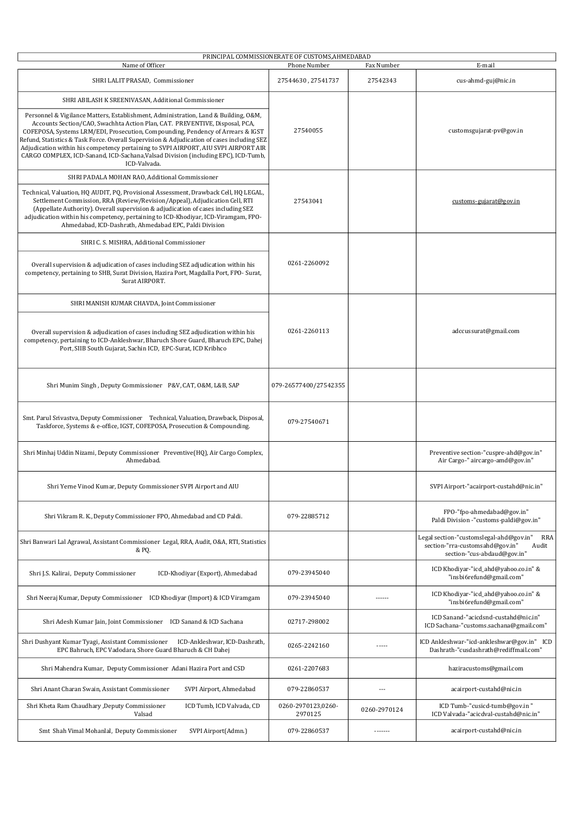|                                                                                                                                                                                                                                                                                                                                                                                                                                                           | PRINCIPAL COMMISSIONERATE OF CUSTOMS, AHMEDABAD |                |                                                                                                                                  |
|-----------------------------------------------------------------------------------------------------------------------------------------------------------------------------------------------------------------------------------------------------------------------------------------------------------------------------------------------------------------------------------------------------------------------------------------------------------|-------------------------------------------------|----------------|----------------------------------------------------------------------------------------------------------------------------------|
| Name of Officer                                                                                                                                                                                                                                                                                                                                                                                                                                           | Phone Number                                    | Fax Number     | E-mail                                                                                                                           |
| SHRI LALIT PRASAD, Commissioner                                                                                                                                                                                                                                                                                                                                                                                                                           | 27544630, 27541737                              | 27542343       | cus-ahmd-guj@nic.in                                                                                                              |
| SHRI ABILASH K SREENIVASAN, Additional Commissioner<br>Personnel & Vigilance Matters, Establishment, Administration, Land & Building, O&M,                                                                                                                                                                                                                                                                                                                |                                                 |                |                                                                                                                                  |
| Accounts Section/CAO, Swachhta Action Plan, CAT. PREVENTIVE, Disposal, PCA,<br>COFEPOSA, Systems LRM/EDI, Prosecution, Compounding, Pendency of Arrears & IGST<br>Refund, Statistics & Task Force. Overall Supervision & Adjudication of cases including SEZ<br>Adjudication within his competency pertaining to SVPI AIRPORT, AIU SVPI AIRPORT AIR<br>CARGO COMPLEX, ICD-Sanand, ICD-Sachana, Valsad Division (including EPC), ICD-Tumb,<br>ICD-Valvada. | 27540055                                        |                | customsgujarat-pv@gov.in                                                                                                         |
| SHRI PADALA MOHAN RAO, Additional Commissioner                                                                                                                                                                                                                                                                                                                                                                                                            |                                                 |                |                                                                                                                                  |
| Technical, Valuation, HQ AUDIT, PQ, Provisional Assessment, Drawback Cell, HQ LEGAL,<br>Settlement Commission, RRA (Review/Revision/Appeal), Adjudication Cell, RTI<br>(Appellate Authority). Overall supervision & adjudication of cases including SEZ<br>adjudication within his competency, pertaining to ICD-Khodiyar, ICD-Viramgam, FPO-<br>Ahmedabad, ICD-Dashrath, Ahmedabad EPC, Paldi Division                                                   | 27543041                                        |                | customs-gujarat@gov.in                                                                                                           |
| SHRI C. S. MISHRA, Additional Commissioner                                                                                                                                                                                                                                                                                                                                                                                                                |                                                 |                |                                                                                                                                  |
| Overall supervision & adjudication of cases including SEZ adjudication within his<br>competency, pertaining to SHB, Surat Division, Hazira Port, Magdalla Port, FPO- Surat,<br>Surat AIRPORT.                                                                                                                                                                                                                                                             | 0261-2260092                                    |                |                                                                                                                                  |
| SHRI MANISH KUMAR CHAVDA, Joint Commissioner                                                                                                                                                                                                                                                                                                                                                                                                              |                                                 |                |                                                                                                                                  |
| Overall supervision & adjudication of cases including SEZ adjudication within his<br>competency, pertaining to ICD-Ankleshwar, Bharuch Shore Guard, Bharuch EPC, Dahej<br>Port, SIIB South Gujarat, Sachin ICD, EPC-Surat, ICD Kribhco                                                                                                                                                                                                                    | 0261-2260113                                    |                | adccussurat@gmail.com                                                                                                            |
| Shri Munim Singh, Deputy Commissioner P&V, CAT, O&M, L&B, SAP                                                                                                                                                                                                                                                                                                                                                                                             | 079-26577400/27542355                           |                |                                                                                                                                  |
| Smt. Parul Srivastva, Deputy Commissioner Technical, Valuation, Drawback, Disposal,<br>Taskforce, Systems & e-office, IGST, COFEPOSA, Prosecution & Compounding.                                                                                                                                                                                                                                                                                          | 079-27540671                                    |                |                                                                                                                                  |
| Shri Minhaj Uddin Nizami, Deputy Commissioner Preventive(HQ), Air Cargo Complex,<br>Ahmedabad.                                                                                                                                                                                                                                                                                                                                                            |                                                 |                | Preventive section-"cuspre-ahd@gov.in"<br>Air Cargo-" aircargo-amd@gov.in"                                                       |
| Shri Yerne Vinod Kumar, Deputy Commissioner SVPI Airport and AIU                                                                                                                                                                                                                                                                                                                                                                                          |                                                 |                | SVPI Airport-"acairport-custahd@nic.in"                                                                                          |
| Shri Vikram R. K., Deputy Commissioner FPO, Ahmedabad and CD Paldi.                                                                                                                                                                                                                                                                                                                                                                                       | 079-22885712                                    |                | FPO-"fpo-ahmedabad@gov.in"<br>Paldi Division -"customs-paldi@gov.in"                                                             |
| Shri Banwari Lal Agrawal, Assistant Commissioner Legal, RRA, Audit, O&A, RTI, Statistics<br>& PQ.                                                                                                                                                                                                                                                                                                                                                         |                                                 |                | Legal section-"customslegal-ahd@gov.in"<br><b>RRA</b><br>section-"rra-customsahd@gov.in"<br>Audit<br>section-"cus-abdaud@gov.in" |
| Shri J.S. Kalirai, Deputy Commissioner<br>ICD-Khodiyar (Export), Ahmedabad                                                                                                                                                                                                                                                                                                                                                                                | 079-23945040                                    |                | ICD Khodiyar-"icd ahd@yahoo.co.in" &<br>"insbi6refund@gmail.com"                                                                 |
| Shri Neeraj Kumar, Deputy Commissioner ICD Khodiyar (Import) & ICD Viramgam                                                                                                                                                                                                                                                                                                                                                                               | 079-23945040                                    | ------         | ICD Khodiyar-"icd_ahd@yahoo.co.in" &<br>"insbi6refund@gmail.com"                                                                 |
| Shri Adesh Kumar Jain, Joint Commissioner ICD Sanand & ICD Sachana                                                                                                                                                                                                                                                                                                                                                                                        | 02717-298002                                    |                | ICD Sanand-"acicdsnd-custahd@nic.in"<br>ICD Sachana-"customs.sachana@gmail.com"                                                  |
| ICD-Ankleshwar, ICD-Dashrath,<br>Shri Dushyant Kumar Tyagi, Assistant Commissioner<br>EPC Bahruch, EPC Vadodara, Shore Guard Bharuch & CH Dahej                                                                                                                                                                                                                                                                                                           | 0265-2242160                                    | -----          | ICD Ankleshwar-"icd-ankleshwar@gov.in" ICD<br>Dashrath-"cusdashrath@rediffmail.com"                                              |
| Shri Mahendra Kumar, Deputy Commissioner Adani Hazira Port and CSD                                                                                                                                                                                                                                                                                                                                                                                        | 0261-2207683                                    |                | haziracustoms@gmail.com                                                                                                          |
| Shri Anant Charan Swain, Assistant Commissioner<br>SVPI Airport, Ahmedabad                                                                                                                                                                                                                                                                                                                                                                                | 079-22860537                                    | $\overline{a}$ | acairport-custahd@nic.in                                                                                                         |
| Shri Kheta Ram Chaudhary , Deputy Commissioner<br>ICD Tumb, ICD Valvada, CD<br>Valsad                                                                                                                                                                                                                                                                                                                                                                     | 0260-2970123,0260-<br>2970125                   | 0260-2970124   | ICD Tumb-"cusicd-tumb@gov.in"<br>ICD Valvada-"acicdval-custahd@nic.in"                                                           |
| Smt Shah Vimal Mohanlal, Deputy Commissioner<br>SVPI Airport(Admn.)                                                                                                                                                                                                                                                                                                                                                                                       | 079-22860537                                    | -------        | acairport-custahd@nic.in                                                                                                         |